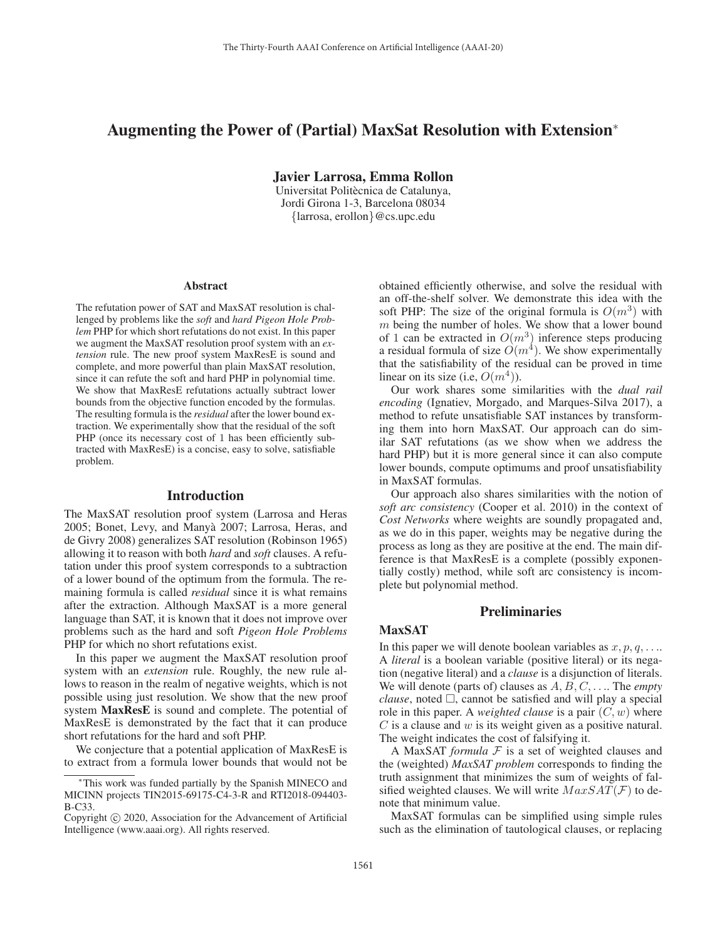# Augmenting the Power of (Partial) MaxSat Resolution with Extension<sup>∗</sup>

Javier Larrosa, Emma Rollon

Universitat Politècnica de Catalunya, Jordi Girona 1-3, Barcelona 08034 {larrosa, erollon}@cs.upc.edu

#### Abstract

The refutation power of SAT and MaxSAT resolution is challenged by problems like the *soft* and *hard Pigeon Hole Problem* PHP for which short refutations do not exist. In this paper we augment the MaxSAT resolution proof system with an *extension* rule. The new proof system MaxResE is sound and complete, and more powerful than plain MaxSAT resolution, since it can refute the soft and hard PHP in polynomial time. We show that MaxResE refutations actually subtract lower bounds from the objective function encoded by the formulas. The resulting formula is the *residual* after the lower bound extraction. We experimentally show that the residual of the soft PHP (once its necessary cost of 1 has been efficiently subtracted with MaxResE) is a concise, easy to solve, satisfiable problem.

### Introduction

The MaxSAT resolution proof system (Larrosa and Heras 2005; Bonet, Levy, and Manya 2007; Larrosa, Heras, and ` de Givry 2008) generalizes SAT resolution (Robinson 1965) allowing it to reason with both *hard* and *soft* clauses. A refutation under this proof system corresponds to a subtraction of a lower bound of the optimum from the formula. The remaining formula is called *residual* since it is what remains after the extraction. Although MaxSAT is a more general language than SAT, it is known that it does not improve over problems such as the hard and soft *Pigeon Hole Problems* PHP for which no short refutations exist.

In this paper we augment the MaxSAT resolution proof system with an *extension* rule. Roughly, the new rule allows to reason in the realm of negative weights, which is not possible using just resolution. We show that the new proof system MaxResE is sound and complete. The potential of MaxResE is demonstrated by the fact that it can produce short refutations for the hard and soft PHP.

We conjecture that a potential application of MaxResE is to extract from a formula lower bounds that would not be

obtained efficiently otherwise, and solve the residual with an off-the-shelf solver. We demonstrate this idea with the soft PHP: The size of the original formula is  $O(m^3)$  with  $m$  being the number of holes. We show that a lower bound of 1 can be extracted in  $O(m^3)$  inference steps producing a residual formula of size  $O(m^4)$ . We show experimentally that the satisfiability of the residual can be proved in time linear on its size (i.e,  $O(m^4)$ ).

Our work shares some similarities with the *dual rail encoding* (Ignatiev, Morgado, and Marques-Silva 2017), a method to refute unsatisfiable SAT instances by transforming them into horn MaxSAT. Our approach can do similar SAT refutations (as we show when we address the hard PHP) but it is more general since it can also compute lower bounds, compute optimums and proof unsatisfiability in MaxSAT formulas.

Our approach also shares similarities with the notion of *soft arc consistency* (Cooper et al. 2010) in the context of *Cost Networks* where weights are soundly propagated and, as we do in this paper, weights may be negative during the process as long as they are positive at the end. The main difference is that MaxResE is a complete (possibly exponentially costly) method, while soft arc consistency is incomplete but polynomial method.

# **Preliminaries**

## MaxSAT

In this paper we will denote boolean variables as  $x, p, q, \ldots$ . A *literal* is a boolean variable (positive literal) or its negation (negative literal) and a *clause* is a disjunction of literals. We will denote (parts of) clauses as A, B, C, . . .. The *empty*  $clause$ , noted  $\Box$ , cannot be satisfied and will play a special role in this paper. A *weighted clause* is a pair (C, w) where  $C$  is a clause and  $w$  is its weight given as a positive natural. The weight indicates the cost of falsifying it.

A MaxSAT *formula*  $F$  is a set of weighted clauses and the (weighted) *MaxSAT problem* corresponds to finding the truth assignment that minimizes the sum of weights of falsified weighted clauses. We will write  $MaxSAT(F)$  to denote that minimum value.

MaxSAT formulas can be simplified using simple rules such as the elimination of tautological clauses, or replacing

This work was funded partially by the Spanish MINECO and MICINN projects TIN2015-69175-C4-3-R and RTI2018-094403- B-C33.

Copyright  $\odot$  2020, Association for the Advancement of Artificial Intelligence (www.aaai.org). All rights reserved.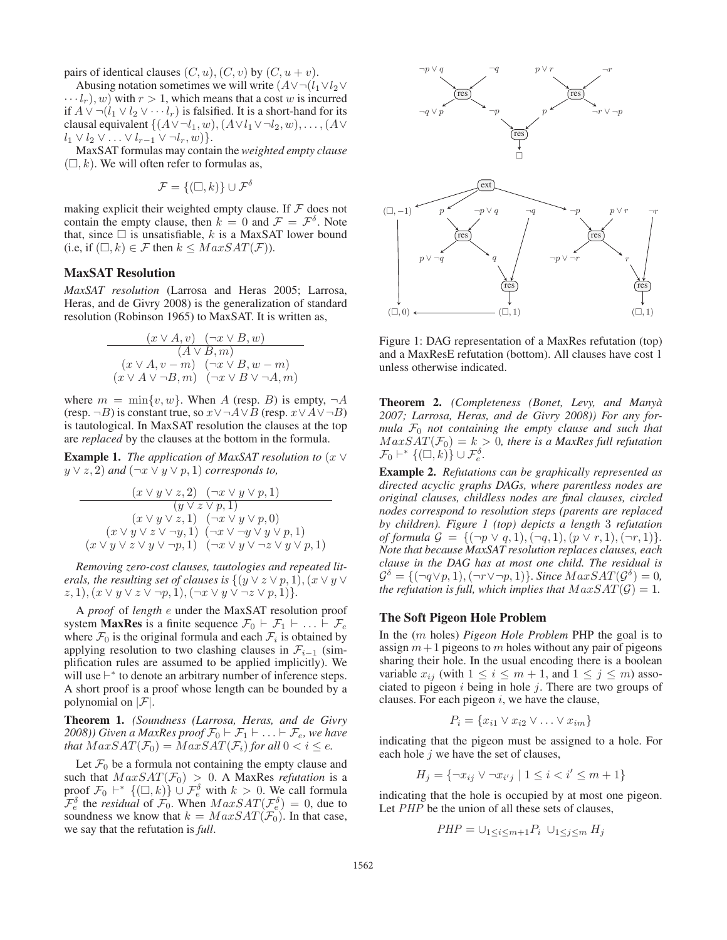pairs of identical clauses  $(C, u)$ ,  $(C, v)$  by  $(C, u + v)$ .

Abusing notation sometimes we will write  $(A \vee \neg (l_1 \vee l_2 \vee$  $\cdots l_r$ , w) with  $r > 1$ , which means that a cost w is incurred if  $A ∨ \neg (l_1 ∨ l_2 ∨ \cdots l_r)$  is falsified. It is a short-hand for its clausal equivalent  $\{(A \vee \neg l_1, w), (A \vee l_1 \vee \neg l_2, w), \dots, (A \vee$  $l_1 \vee l_2 \vee \ldots \vee l_{r-1} \vee \neg l_r, w) \}.$ 

MaxSAT formulas may contain the *weighted empty clause*  $(\square, k)$ . We will often refer to formulas as,

$$
\mathcal{F} = \{(\Box, k)\} \cup \mathcal{F}^{\delta}
$$

making explicit their weighted empty clause. If  $F$  does not contain the empty clause, then  $k = 0$  and  $\mathcal{F} = \mathcal{F}^{\delta}$ . Note that, since  $\square$  is unsatisfiable, k is a MaxSAT lower bound (i.e, if  $(\Box, k) \in \mathcal{F}$  then  $k \leq \text{MaxSAT}(\mathcal{F})$ ).

# MaxSAT Resolution

*MaxSAT resolution* (Larrosa and Heras 2005; Larrosa, Heras, and de Givry 2008) is the generalization of standard resolution (Robinson 1965) to MaxSAT. It is written as,

$$
\frac{(x \vee A, v) \quad (\neg x \vee B, w)}{(A \vee B, m)}
$$

$$
\frac{(x \vee A, v - m) \quad (\neg x \vee B, w - m)}{(x \vee A \vee \neg B, m) \quad (\neg x \vee B \vee \neg A, m)}
$$

where  $m = \min\{v, w\}$ . When A (resp. B) is empty,  $\neg A$ (resp.  $\neg B$ ) is constant true, so  $x \lor \neg A \lor B$  (resp.  $x \lor A \lor \neg B$ ) is tautological. In MaxSAT resolution the clauses at the top are *replaced* by the clauses at the bottom in the formula.

**Example 1.** *The application of MaxSAT resolution to*  $(x \vee y)$  $y \vee z$ , 2) and  $(\neg x \vee y \vee p, 1)$  *corresponds to*,

$$
\begin{array}{c}\n\left(x \vee y \vee z, 2\right) \quad \left(\neg x \vee y \vee p, 1\right) \\
\qquad \qquad (y \vee z \vee p, 1) \\
\qquad \qquad (x \vee y \vee z, 1) \quad \left(\neg x \vee y \vee p, 0\right) \\
\qquad \qquad (x \vee y \vee z \vee \neg y, 1) \quad \left(\neg x \vee \neg y \vee y \vee p, 1\right) \\
\left(x \vee y \vee z \vee y \vee \neg p, 1\right) \quad \left(\neg x \vee y \vee \neg z \vee y \vee p, 1\right)\n\end{array}
$$

*Removing zero-cost clauses, tautologies and repeated literals, the resulting set of clauses is*  $\{(y \lor z \lor p, 1), (x \lor y \lor z) \}$  $(z, 1), (x \vee y \vee z \vee \neg p, 1), (\neg x \vee y \vee \neg z \vee p, 1)$ }.

A *proof* of *length* e under the MaxSAT resolution proof system **MaxRes** is a finite sequence  $\mathcal{F}_0 \vdash \mathcal{F}_1 \vdash ... \vdash \mathcal{F}_e$ where  $\mathcal{F}_0$  is the original formula and each  $\mathcal{F}_i$  is obtained by applying resolution to two clashing clauses in  $\mathcal{F}_{i-1}$  (simplification rules are assumed to be applied implicitly). We will use  $\vdash^*$  to denote an arbitrary number of inference steps. A short proof is a proof whose length can be bounded by a polynomial on  $|\mathcal{F}|$ .

Theorem 1. *(Soundness (Larrosa, Heras, and de Givry 2008)) Given a MaxRes proof*  $\mathcal{F}_0 \vdash \mathcal{F}_1 \vdash \ldots \vdash \mathcal{F}_e$ , we have *that*  $MaxSAT(\mathcal{F}_0) = MaxSAT(\mathcal{F}_i)$  *for all*  $0 < i \leq e$ .

Let  $\mathcal{F}_0$  be a formula not containing the empty clause and such that  $MaxSAT(\mathcal{F}_0) > 0$ . A MaxRes *refutation* is a proof  $\mathcal{F}_0$   $\vdash^*$   $\{(\Box, k)\}$   $\cup$   $\mathcal{F}_e^{\delta}$  with  $k > 0$ . We call formula  $\mathcal{F}_e^{\delta}$  the *residual* of  $\mathcal{F}_0$ . When  $MaxSAT(\mathcal{F}_e^{\delta})=0$ , due to soundness we know that  $k = MaxSAT(\mathcal{F}_0)$ . In that case, we say that the refutation is *full*.



Figure 1: DAG representation of a MaxRes refutation (top) and a MaxResE refutation (bottom). All clauses have cost 1 unless otherwise indicated.

Theorem 2. *(Completeness (Bonet, Levy, and Manya` 2007; Larrosa, Heras, and de Givry 2008)) For any formula*  $F_0$  *not containing the empty clause and such that*  $MaxSAT(\mathcal{F}_0) = k > 0$ , there is a MaxRes full refutation  $\mathcal{F}_0 \vdash^* \{(\Box, k)\} \cup \mathcal{F}_e^{\delta}.$ 

Example 2. *Refutations can be graphically represented as directed acyclic graphs DAGs, where parentless nodes are original clauses, childless nodes are final clauses, circled nodes correspond to resolution steps (parents are replaced by children). Figure 1 (top) depicts a length* 3 *refutation of formula*  $G = \{(\neg p \lor q, 1), (\neg q, 1), (p \lor r, 1), (\neg r, 1)\}.$ *Note that because MaxSAT resolution replaces clauses, each clause in the DAG has at most one child. The residual is*  $\mathcal{G}^{\delta} = \{(\neg q \lor p, 1), (\neg r \lor \neg p, 1)\}\$ . Since  $MaxSAT(\mathcal{G}^{\delta})=0$ , *the refutation is full, which implies that*  $MaxSAT(\mathcal{G})=1$ .

### The Soft Pigeon Hole Problem

In the (m holes) *Pigeon Hole Problem* PHP the goal is to assign  $m+1$  pigeons to m holes without any pair of pigeons sharing their hole. In the usual encoding there is a boolean variable  $x_{ij}$  (with  $1 \le i \le m+1$ , and  $1 \le j \le m$ ) associated to pigeon  $i$  being in hole  $j$ . There are two groups of clauses. For each pigeon  $i$ , we have the clause,

$$
P_i = \{x_{i1} \lor x_{i2} \lor \dots \lor x_{im}\}
$$

indicating that the pigeon must be assigned to a hole. For each hole  $j$  we have the set of clauses,

$$
H_j = \{ \neg x_{ij} \lor \neg x_{i'j} \mid 1 \le i < i' \le m+1 \}
$$

indicating that the hole is occupied by at most one pigeon. Let *PHP* be the union of all these sets of clauses,

$$
PHP = \cup_{1 \leq i \leq m+1} P_i \cup_{1 \leq j \leq m} H_j
$$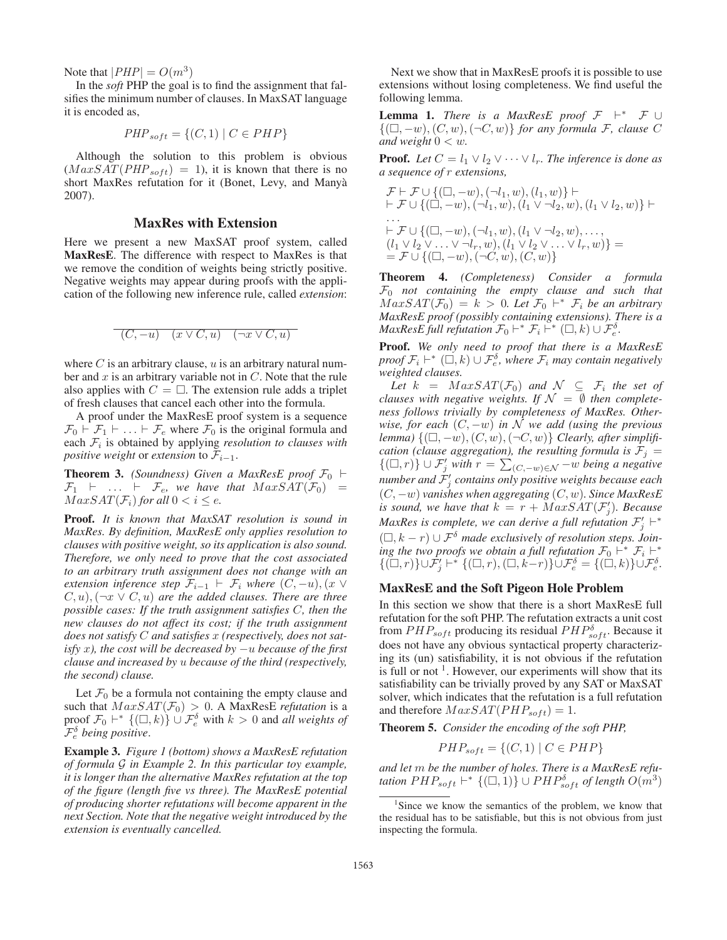Note that  $|PHP| = O(m^3)$ 

In the *soft* PHP the goal is to find the assignment that falsifies the minimum number of clauses. In MaxSAT language it is encoded as,

$$
PHP_{soft} = \{(C, 1) | C \in PHP\}
$$

Although the solution to this problem is obvious  $(MaxSAT(PHP<sub>soft</sub>) = 1)$ , it is known that there is no short MaxRes refutation for it (Bonet, Levy, and Manya` 2007).

# MaxRes with Extension

Here we present a new MaxSAT proof system, called MaxResE. The difference with respect to MaxRes is that we remove the condition of weights being strictly positive. Negative weights may appear during proofs with the application of the following new inference rule, called *extension*:

$$
(C, -u) \quad (x \lor C, u) \quad (\neg x \lor C, u)
$$

where  $C$  is an arbitrary clause,  $u$  is an arbitrary natural number and  $x$  is an arbitrary variable not in  $C$ . Note that the rule also applies with  $C = \square$ . The extension rule adds a triplet of fresh clauses that cancel each other into the formula.

A proof under the MaxResE proof system is a sequence  $\mathcal{F}_0$   $\vdash$   $\mathcal{F}_1$   $\vdash$  ...  $\vdash$   $\mathcal{F}_e$  where  $\mathcal{F}_0$  is the original formula and each  $F_i$  is obtained by applying *resolution to clauses with positive weight* or *extension* to  $\mathcal{F}_{i-1}$ .

**Theorem 3.** *(Soundness)* Given a MaxResE proof  $\mathcal{F}_0$   $\vdash$  $\mathcal{F}_1$   $\vdash$  ...  $\vdash$   $\mathcal{F}_e$ , we have that  $MaxSAT(\mathcal{F}_0)$  =  $MaxSAT(\mathcal{F}_i)$  *for all*  $0 < i \leq e$ *.* 

Proof. *It is known that MaxSAT resolution is sound in MaxRes. By definition, MaxResE only applies resolution to clauses with positive weight, so its application is also sound. Therefore, we only need to prove that the cost associated to an arbitrary truth assignment does not change with an extension inference step*  $\mathcal{F}_{i-1}$   $\vdash \mathcal{F}_i$  *where*  $(C, -u)$ ,  $(x \vee$  $(C, u), (\neg x \lor C, u)$  *are the added clauses. There are three possible cases: If the truth assignment satisfies* C*, then the new clauses do not affect its cost; if the truth assignment does not satisfy* C *and satisfies* x *(respectively, does not satisfy* x*), the cost will be decreased by* −u *because of the first clause and increased by* u *because of the third (respectively, the second) clause.*

Let  $\mathcal{F}_0$  be a formula not containing the empty clause and such that  $MaxSAT(\mathcal{F}_0) > 0$ . A MaxResE *refutation* is a proof  $\mathcal{F}_0$   $\vdash^*$   $\{(\Box, k)\}$   $\cup$   $\mathcal{F}_e^{\delta}$  with  $k > 0$  and *all weights of* Fδ <sup>e</sup> *being positive*.

Example 3. *Figure 1 (bottom) shows a MaxResE refutation of formula* G *in Example 2. In this particular toy example, it is longer than the alternative MaxRes refutation at the top of the figure (length five vs three). The MaxResE potential of producing shorter refutations will become apparent in the next Section. Note that the negative weight introduced by the extension is eventually cancelled.*

Next we show that in MaxResE proofs it is possible to use extensions without losing completeness. We find useful the following lemma.

**Lemma 1.** *There is a MaxResE proof*  $\mathcal{F}$   $\vdash^* \mathcal{F}$  ∪  ${(\Box, -w), (C, w), (\neg C, w)}$  *for any formula* F, clause C *and weight*  $0 < w$ *.* 

**Proof.** *Let*  $C = l_1 \vee l_2 \vee \cdots \vee l_r$ *. The inference is done as a sequence of* r *extensions,*

$$
\mathcal{F} \vdash \mathcal{F} \cup \{ (\Box, -w), (\neg l_1, w), (l_1, w) \} \vdash \n\vdash \mathcal{F} \cup \{ (\Box, -w), (\neg l_1, w), (l_1 \lor \neg l_2, w), (l_1 \lor l_2, w) \} \vdash \n\cdots \n\vdash \mathcal{F} \cup \{ (\Box, -w), (\neg l_1, w), (l_1 \lor \neg l_2, w), \dots, (l_1 \lor l_2 \lor \dots \lor \neg l_r, w), (l_1 \lor l_2 \lor \dots \lor l_r, w) \} = \n= \mathcal{F} \cup \{ (\Box, -w), (\neg C, w), (C, w) \}
$$

Theorem 4. *(Completeness) Consider a formula* F<sup>0</sup> *not containing the empty clause and such that*  $MaxSAT(\mathcal{F}_0) = k > 0$ . Let  $\mathcal{F}_0$   $\vdash^* \mathcal{F}_i$  be an arbitrary *MaxResE proof (possibly containing extensions). There is a MaxResE full refutation*  $\mathcal{F}_0$   $\vdash^* \mathcal{F}_i$   $\vdash^* (\square, k) \cup \mathcal{F}_e^{\delta}$ .

Proof. *We only need to proof that there is a MaxResE*  $\text{proof } \mathcal{F}_i \vdash^* (\square, k) \cup \mathcal{F}_e^{\delta}$ , where  $\mathcal{F}_i$  may contain negatively *weighted clauses.*

*Let*  $k = MaxSAT(F_0)$  *and*  $N \subseteq F_i$  *the set of clauses with negative weights. If*  $\mathcal{N} = \emptyset$  *then completeness follows trivially by completeness of MaxRes. Otherwise, for each*  $(C, -w)$  *in N we add (using the previous*  $\mathit{lemma}$ )  $\{(\Box, -w), (C, w), (\neg C, w)\}$  *Clearly, after simplification (clause aggregation), the resulting formula is*  $\mathcal{F}_j =$  ${(\Box, r)}$  ∪  $\mathcal{F}'_j$  *with*  $r = \sum_{(C, -w) \in \mathcal{N}} -w$  *being a negative number and* F <sup>j</sup> *contains only positive weights because each* (C, −w) *vanishes when aggregating* (C, w)*. Since MaxResE is sound, we have that*  $k = r + \overline{MaxSAT}(\mathcal{F}'_i)$ *. Because MaxRes is complete, we can derive a full refutation*  $\mathcal{F}'_i$   $\vdash^*$  $(\Box, k - r) \cup \mathcal{F}^{\delta}$  *made exclusively of resolution steps.* Join*ing the two proofs we obtain a full refutation*  $\mathcal{F}_0$   $\vdash^* \mathcal{F}_i$   $\vdash^*$  $\{(\square, r)\}\cup \mathcal{F}'_j \vdash^* \{(\square, r), (\square, k-r)\} \cup \mathcal{F}^{\delta}_e = \{(\square, k)\} \cup \mathcal{F}^{\delta}_e.$ 

## MaxResE and the Soft Pigeon Hole Problem

In this section we show that there is a short MaxResE full refutation for the soft PHP. The refutation extracts a unit cost from  $PHP_{soft}$  producing its residual  $PHP_{soft}^{\delta}$ . Because it does not have any obvious syntactical property characterizing its (un) satisfiability, it is not obvious if the refutation is full or not  $<sup>1</sup>$ . However, our experiments will show that its</sup> satisfiability can be trivially proved by any SAT or MaxSAT solver, which indicates that the refutation is a full refutation and therefore  $MaxSAT(PHP_{soft})=1$ .

Theorem 5. *Consider the encoding of the soft PHP,*

$$
PHP_{soft} = \{(C, 1) | C \in PHP\}
$$

*and let* m *be the number of holes. There is a MaxResE refutation*  $PHP_{soft}$   $\vdash^*$  { $(\square, 1)$ }  $\cup$   $PHP_{soft}^{\delta}$  of length  $O(m^3)$ 

<sup>&</sup>lt;sup>1</sup>Since we know the semantics of the problem, we know that the residual has to be satisfiable, but this is not obvious from just inspecting the formula.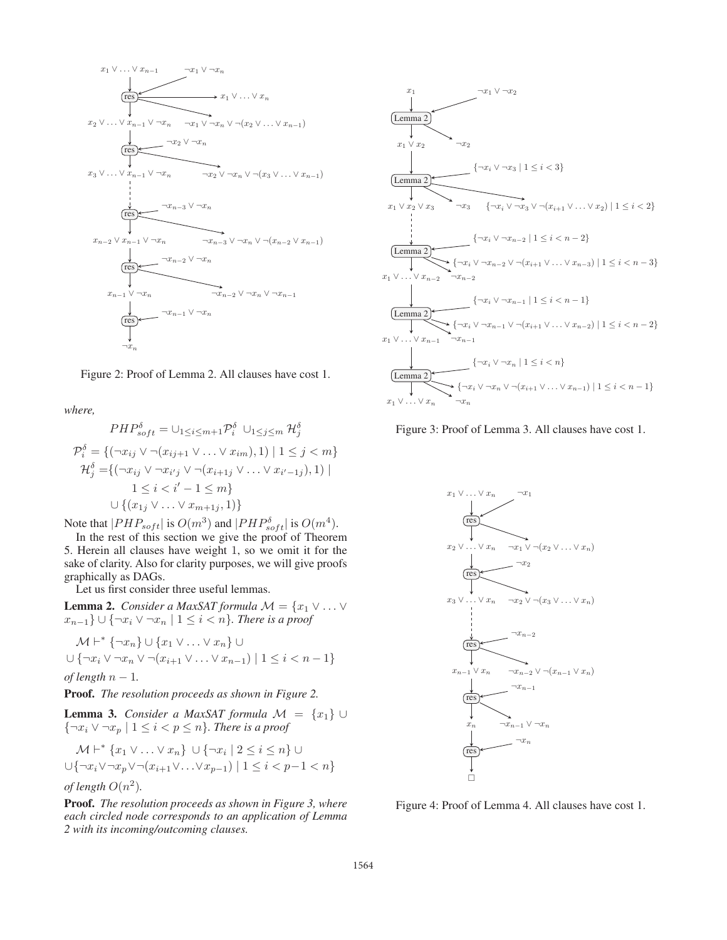

Figure 2: Proof of Lemma 2. All clauses have cost 1.

*where,*

$$
PHP_{soft}^{\delta} = \bigcup_{1 \leq i \leq m+1} \mathcal{P}_{i}^{\delta} \cup_{1 \leq j \leq m} \mathcal{H}_{j}^{\delta}
$$
  

$$
\mathcal{P}_{i}^{\delta} = \{ (\neg x_{ij} \lor \neg (x_{ij+1} \lor \dots \lor x_{im}), 1) \mid 1 \leq j < m \}
$$
  

$$
\mathcal{H}_{j}^{\delta} = \{ (\neg x_{ij} \lor \neg x_{i'j} \lor \neg (x_{i+1j} \lor \dots \lor x_{i'-1j}), 1) \mid 1 \leq i < i' - 1 \leq m \}
$$
  

$$
\cup \{ (x_{1j} \lor \dots \lor x_{m+1j}, 1) \}
$$

Note that  $|PHP_{soft}|$  is  $O(m^3)$  and  $|PHP_{soft}^{\delta}|$  is  $O(m^4)$ .

In the rest of this section we give the proof of Theorem 5. Herein all clauses have weight 1, so we omit it for the sake of clarity. Also for clarity purposes, we will give proofs graphically as DAGs.

Let us first consider three useful lemmas.

**Lemma 2.** *Consider a MaxSAT formula*  $M = \{x_1 \vee \ldots \vee x_n\}$  $x_{n-1}$ } ∪ {¬ $x_i$  ∨ ¬ $x_n$  | 1 ≤ *i* < *n*}*. There is a proof* 

$$
\mathcal{M} \vdash^* \{\neg x_n\} \cup \{x_1 \vee \dots \vee x_n\} \cup \{\neg x_i \vee \neg x_n \vee \neg (x_{i+1} \vee \dots \vee x_{n-1}) \mid 1 \leq i < n-1\}
$$

*of length*  $n − 1$ *.* 

Proof. *The resolution proceeds as shown in Figure 2.*

**Lemma 3.** *Consider a MaxSAT formula*  $\mathcal{M} = \{x_1\} \cup \{x_2\}$ {¬x<sup>i</sup> ∨ ¬x<sup>p</sup> | 1 ≤ i<p ≤ n}*. There is a proof*

$$
\mathcal{M} \vdash^* \{x_1 \vee \ldots \vee x_n\} \cup \{\neg x_i \mid 2 \le i \le n\} \cup \{\neg x_i \vee \neg x_i \vee \neg x_i \vee \neg (x_{i+1} \vee \ldots \vee x_{p-1}) \mid 1 \le i < p-1 < n\}
$$

*of length*  $O(n^2)$ *.* 

Proof. *The resolution proceeds as shown in Figure 3, where each circled node corresponds to an application of Lemma 2 with its incoming/outcoming clauses.*



Figure 3: Proof of Lemma 3. All clauses have cost 1.



Figure 4: Proof of Lemma 4. All clauses have cost 1.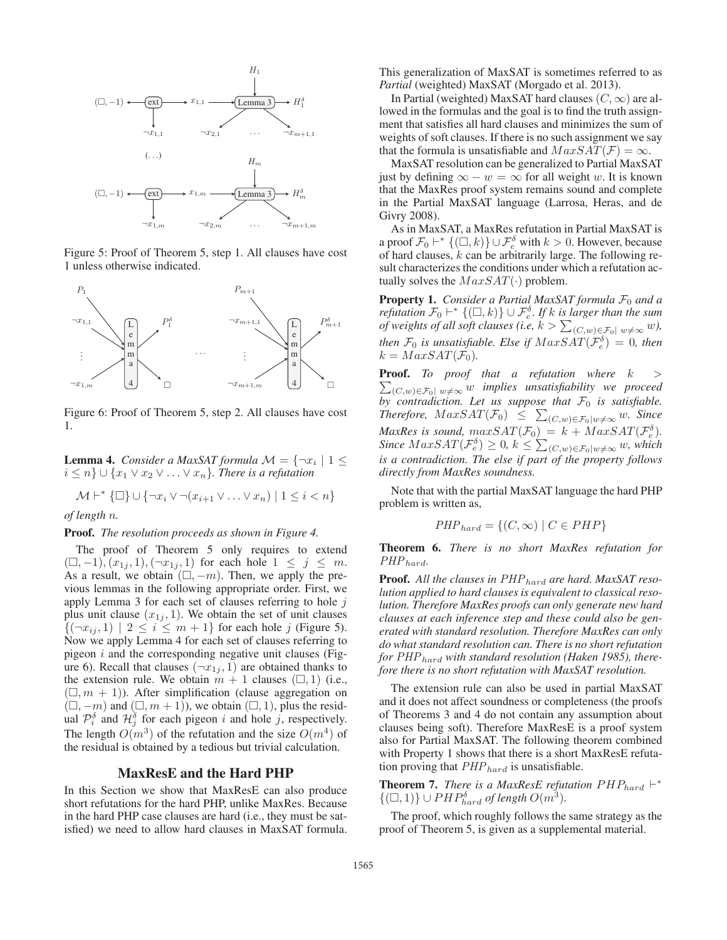

Figure 5: Proof of Theorem 5, step 1. All clauses have cost 1 unless otherwise indicated.



Figure 6: Proof of Theorem 5, step 2. All clauses have cost 1.

**Lemma 4.** *Consider a MaxSAT formula*  $\mathcal{M} = \{\neg x_i \mid 1 \leq$  $i ≤ n$ }  $\cup$  { $x_1 ∨ x_2 ∨ ... ∨ x_n$ *}. There is a refutation* 

$$
\mathcal{M} \vdash^* \{\Box\} \cup \{\neg x_i \vee \neg (x_{i+1} \vee \ldots \vee x_n) \mid 1 \leq i < n\}
$$

*of length* n*.*

#### Proof. *The resolution proceeds as shown in Figure 4.*

The proof of Theorem 5 only requires to extend  $(1, -1), (x_{1j}, 1), (\neg x_{1j}, 1)$  for each hole  $1 \leq j \leq m$ . As a result, we obtain  $(\Box, -m)$ . Then, we apply the previous lemmas in the following appropriate order. First, we apply Lemma 3 for each set of clauses referring to hole  $j$ plus unit clause  $(x_{1j}, 1)$ . We obtain the set of unit clauses  ${-(\neg x_{ij}, 1) \mid 2 \leq i \leq m+1}$  for each hole j (Figure 5). Now we apply Lemma 4 for each set of clauses referring to pigeon  $i$  and the corresponding negative unit clauses (Figure 6). Recall that clauses  $(\neg x_{1i}, 1)$  are obtained thanks to the extension rule. We obtain  $m + 1$  clauses  $(\square, 1)$  (i.e.,  $(\Box, m + 1)$ ). After simplification (clause aggregation on  $(\Box, -m)$  and  $(\Box, m+1)$ , we obtain  $(\Box, 1)$ , plus the residual  $\mathcal{P}_{i}^{\delta}$  and  $\mathcal{H}_{j}^{\delta}$  for each pigeon i and hole j, respectively. The length  $O(m^3)$  of the refutation and the size  $O(m^4)$  of the residual is obtained by a tedious but trivial calculation.

### MaxResE and the Hard PHP

In this Section we show that MaxResE can also produce short refutations for the hard PHP, unlike MaxRes. Because in the hard PHP case clauses are hard (i.e., they must be satisfied) we need to allow hard clauses in MaxSAT formula. This generalization of MaxSAT is sometimes referred to as *Partial* (weighted) MaxSAT (Morgado et al. 2013).

In Partial (weighted) MaxSAT hard clauses  $(C, \infty)$  are allowed in the formulas and the goal is to find the truth assignment that satisfies all hard clauses and minimizes the sum of weights of soft clauses. If there is no such assignment we say that the formula is unsatisfiable and  $MaxSAT(F) = \infty$ .

MaxSAT resolution can be generalized to Partial MaxSAT just by defining  $\infty - w = \infty$  for all weight w. It is known that the MaxRes proof system remains sound and complete in the Partial MaxSAT language (Larrosa, Heras, and de Givry 2008).

As in MaxSAT, a MaxRes refutation in Partial MaxSAT is a proof  $\mathcal{F}_0$   $\vdash^*$   $\{(\square, k)\}\cup \mathcal{F}_e^{\delta}$  with  $k > 0$ . However, because of hard clauses,  $k$  can be arbitrarily large. The following result characterizes the conditions under which a refutation actually solves the  $MaxSAT(\cdot)$  problem.

Property 1. *Consider a Partial MaxSAT formula*  $F_0$  and a  $\hat{f}$  *refutation*  $\mathcal{F}_0$   $\vdash^*$   $\{(\Box, k)\}\cup \mathcal{F}_e^{\delta}$ . If  $k$  is larger than the sum *of weights of all soft clauses (i.e,*  $k > \sum_{(C,w) \in \mathcal{F}_0 | w \neq \infty} w$ *), then*  $\mathcal{F}_0$  *is unsatisfiable. Else if*  $MaxSAT(\tilde{\mathcal{F}_e^{\delta}}) = 0$ *, then*  $k = MaxSAT(\mathcal{F}_0)$ .

**Proof.** To proof that a refutation where  $k$  >  $\sum_{(C,w)\in\mathcal{F}_0|w\neq\infty} w$  *implies unsatisfiability we proceed by contradiction. Let us suppose that*  $\mathcal{F}_0$  *is satisfiable.*  $\text{Therefore, } \text{MaxSAT}(\mathcal{F}_0) \leq \sum_{(C,w)\in \mathcal{F}_0|w\neq \infty} w.$  Since *MaxRes is sound,*  $maxSAT(\mathcal{F}_0) = k + MaxSAT(\mathcal{F}_e^{\delta}).$  $Since \, MaxSAT(\mathcal{F}_{e}^{\delta}) \geq 0, \, k \leq \sum_{(C,w)\in\mathcal{F}_{0}|w\neq\infty} w, \, which$ *is a contradiction. The else if part of the property follows directly from MaxRes soundness.*

Note that with the partial MaxSAT language the hard PHP problem is written as,

$$
PHP_{hard} = \{(C, \infty) \mid C \in PHP\}
$$

Theorem 6. *There is no short MaxRes refutation for* PHPhard*.*

**Proof.** All the clauses in PHP<sub>hard</sub> are hard. MaxSAT reso*lution applied to hard clauses is equivalent to classical resolution. Therefore MaxRes proofs can only generate new hard clauses at each inference step and these could also be generated with standard resolution. Therefore MaxRes can only do what standard resolution can. There is no short refutation* for PHP<sub>hard</sub> with standard resolution (Haken 1985), there*fore there is no short refutation with MaxSAT resolution.*

The extension rule can also be used in partial MaxSAT and it does not affect soundness or completeness (the proofs of Theorems 3 and 4 do not contain any assumption about clauses being soft). Therefore MaxResE is a proof system also for Partial MaxSAT. The following theorem combined with Property 1 shows that there is a short MaxResE refutation proving that  $PHP_{hard}$  is unsatisfiable.

**Theorem 7.** *There is a MaxResE refutation*  $PHP_{hard} \vdash^*$  ${(\Box, 1)}$   $\cup$   $PHP_{hard}^{\delta}$  of length  $O(m^3)$ .

The proof, which roughly follows the same strategy as the proof of Theorem 5, is given as a supplemental material.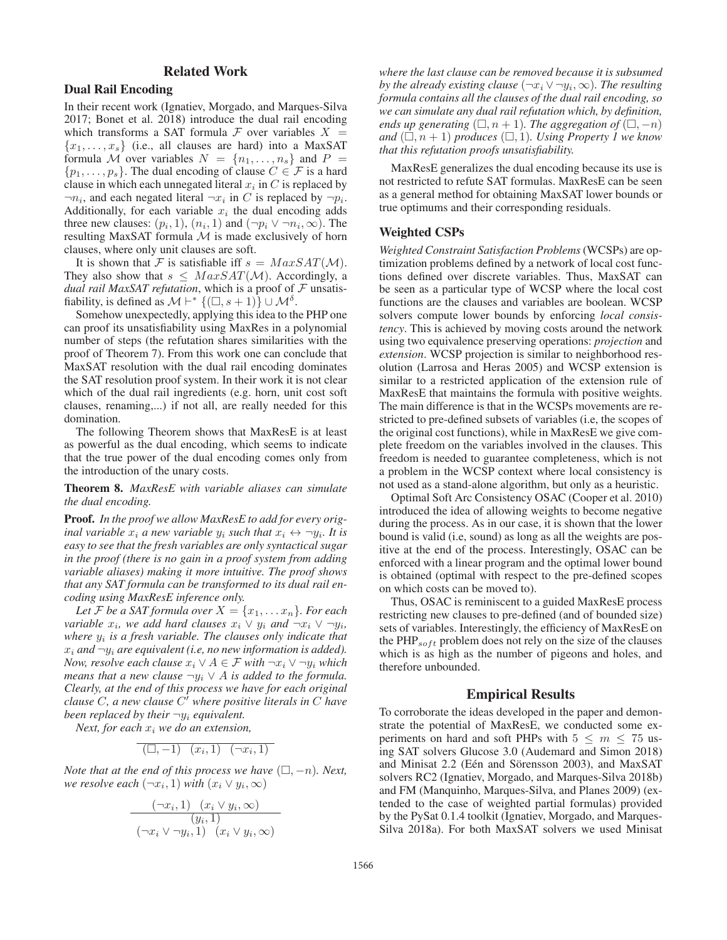# Related Work

# Dual Rail Encoding

In their recent work (Ignatiev, Morgado, and Marques-Silva 2017; Bonet et al. 2018) introduce the dual rail encoding which transforms a SAT formula  $\mathcal F$  over variables  $X =$  ${x_1, \ldots, x_s}$  (i.e., all clauses are hard) into a MaxSAT formula M over variables  $N = \{n_1, \ldots, n_s\}$  and  $P =$  $\{p_1,\ldots,p_s\}$ . The dual encoding of clause  $C \in \mathcal{F}$  is a hard clause in which each unnegated literal  $x_i$  in C is replaced by  $\neg n_i$ , and each negated literal  $\neg x_i$  in C is replaced by  $\neg p_i$ . Additionally, for each variable  $x_i$  the dual encoding adds three new clauses:  $(p_i, 1)$ ,  $(n_i, 1)$  and  $(\neg p_i \lor \neg n_i, \infty)$ . The resulting MaxSAT formula  $M$  is made exclusively of horn clauses, where only unit clauses are soft.

It is shown that F is satisfiable iff  $s = MaxSAT(\mathcal{M})$ . They also show that  $s \leq MaxSAT(\mathcal{M})$ . Accordingly, a *dual rail MaxSAT refutation*, which is a proof of  $F$  unsatisfiability, is defined as  $\mathcal{M} \vdash^* \{ (\Box, s + 1) \} \cup \mathcal{M}^{\delta}$ .

Somehow unexpectedly, applying this idea to the PHP one can proof its unsatisfiability using MaxRes in a polynomial number of steps (the refutation shares similarities with the proof of Theorem 7). From this work one can conclude that MaxSAT resolution with the dual rail encoding dominates the SAT resolution proof system. In their work it is not clear which of the dual rail ingredients (e.g. horn, unit cost soft clauses, renaming,...) if not all, are really needed for this domination.

The following Theorem shows that MaxResE is at least as powerful as the dual encoding, which seems to indicate that the true power of the dual encoding comes only from the introduction of the unary costs.

Theorem 8. *MaxResE with variable aliases can simulate the dual encoding.*

Proof. *In the proof we allow MaxResE to add for every original variable*  $x_i$  *a new variable*  $y_i$  *such that*  $x_i \leftrightarrow \neg y_i$ *. It is easy to see that the fresh variables are only syntactical sugar in the proof (there is no gain in a proof system from adding variable aliases) making it more intuitive. The proof shows that any SAT formula can be transformed to its dual rail encoding using MaxResE inference only.*

*Let* F *be a SAT formula over*  $X = \{x_1, \ldots x_n\}$ *. For each variable*  $x_i$ *, we add hard clauses*  $x_i \vee y_i$  *and*  $\neg x_i \vee \neg y_i$ *, where*  $y_i$  *is a fresh variable. The clauses only indicate that*  $x_i$  *and*  $\neg y_i$  *are equivalent (i.e, no new information is added). Now, resolve each clause*  $x_i \lor A \in \mathcal{F}$  *with*  $\neg x_i \lor \neg y_i$  *which means that a new clause*  $\neg y_i \lor A$  *is added to the formula. Clearly, at the end of this process we have for each original clause* C, a new clause C' where positive literals in C have *been replaced by their*  $\neg y_i$  *equivalent.* 

*Next, for each*  $x_i$  *we do an extension,* 

 $(\Box, -1)$   $(x_i, 1)$   $(\neg x_i, 1)$ 

*Note that at the end of this process we have*  $(\square, -n)$ *. Next, we resolve each*  $(\neg x_i, 1)$  *with*  $(x_i \lor y_i, \infty)$ 

$$
\frac{(\neg x_i, 1) \quad (x_i \lor y_i, \infty)}{(y_i, 1)}
$$

$$
(\neg x_i \lor \neg y_i, 1) \quad (x_i \lor y_i, \infty)
$$

*where the last clause can be removed because it is subsumed by the already existing clause* ( $\neg x_i \vee \neg y_i$ ,  $\infty$ )*. The resulting formula contains all the clauses of the dual rail encoding, so we can simulate any dual rail refutation which, by definition, ends up generating*  $(\Box, n + 1)$ *. The aggregation of*  $(\Box, -n)$ and  $(\square, n + 1)$  *produces*  $(\square, 1)$ *. Using Property 1 we know that this refutation proofs unsatisfiability.*

MaxResE generalizes the dual encoding because its use is not restricted to refute SAT formulas. MaxResE can be seen as a general method for obtaining MaxSAT lower bounds or true optimums and their corresponding residuals.

# Weighted CSPs

*Weighted Constraint Satisfaction Problems*(WCSPs) are optimization problems defined by a network of local cost functions defined over discrete variables. Thus, MaxSAT can be seen as a particular type of WCSP where the local cost functions are the clauses and variables are boolean. WCSP solvers compute lower bounds by enforcing *local consistency*. This is achieved by moving costs around the network using two equivalence preserving operations: *projection* and *extension*. WCSP projection is similar to neighborhood resolution (Larrosa and Heras 2005) and WCSP extension is similar to a restricted application of the extension rule of MaxResE that maintains the formula with positive weights. The main difference is that in the WCSPs movements are restricted to pre-defined subsets of variables (i.e, the scopes of the original cost functions), while in MaxResE we give complete freedom on the variables involved in the clauses. This freedom is needed to guarantee completeness, which is not a problem in the WCSP context where local consistency is not used as a stand-alone algorithm, but only as a heuristic.

Optimal Soft Arc Consistency OSAC (Cooper et al. 2010) introduced the idea of allowing weights to become negative during the process. As in our case, it is shown that the lower bound is valid (i.e, sound) as long as all the weights are positive at the end of the process. Interestingly, OSAC can be enforced with a linear program and the optimal lower bound is obtained (optimal with respect to the pre-defined scopes on which costs can be moved to).

Thus, OSAC is reminiscent to a guided MaxResE process restricting new clauses to pre-defined (and of bounded size) sets of variables. Interestingly, the efficiency of MaxResE on the  $PHP_{soft}$  problem does not rely on the size of the clauses which is as high as the number of pigeons and holes, and therefore unbounded.

# Empirical Results

To corroborate the ideas developed in the paper and demonstrate the potential of MaxResE, we conducted some experiments on hard and soft PHPs with  $5 \le m \le 75$  using SAT solvers Glucose 3.0 (Audemard and Simon 2018) and Minisat 2.2 (Eén and Sörensson 2003), and MaxSAT solvers RC2 (Ignatiev, Morgado, and Marques-Silva 2018b) and FM (Manquinho, Marques-Silva, and Planes 2009) (extended to the case of weighted partial formulas) provided by the PySat 0.1.4 toolkit (Ignatiev, Morgado, and Marques-Silva 2018a). For both MaxSAT solvers we used Minisat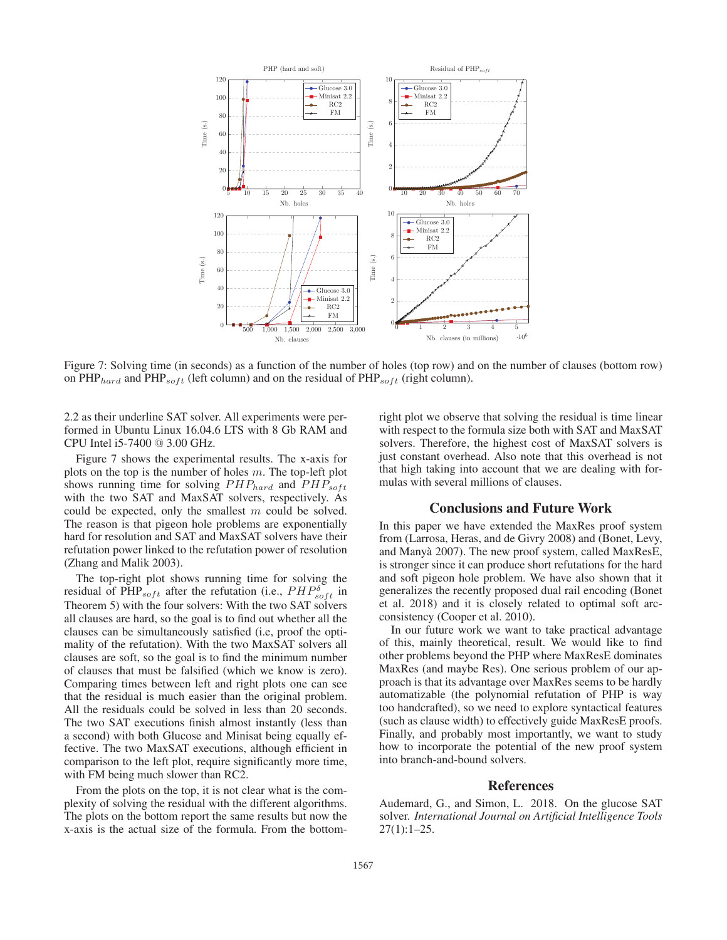

Figure 7: Solving time (in seconds) as a function of the number of holes (top row) and on the number of clauses (bottom row) on  $\text{PHP}_{hard}$  and  $\text{PHP}_{soft}$  (left column) and on the residual of  $\text{PHP}_{soft}$  (right column).

2.2 as their underline SAT solver. All experiments were performed in Ubuntu Linux 16.04.6 LTS with 8 Gb RAM and CPU Intel i5-7400 @ 3.00 GHz.

Figure 7 shows the experimental results. The x-axis for plots on the top is the number of holes  $m$ . The top-left plot shows running time for solving  $PHP_{hard}$  and  $PHP_{soft}$ with the two SAT and MaxSAT solvers, respectively. As could be expected, only the smallest m could be solved. The reason is that pigeon hole problems are exponentially hard for resolution and SAT and MaxSAT solvers have their refutation power linked to the refutation power of resolution (Zhang and Malik 2003).

The top-right plot shows running time for solving the residual of PHP<sub>soft</sub> after the refutation (i.e.,  $PHP^{\delta}_{soft}$  in Theorem 5) with the four solvers: With the two SAT solvers all clauses are hard, so the goal is to find out whether all the clauses can be simultaneously satisfied (i.e, proof the optimality of the refutation). With the two MaxSAT solvers all clauses are soft, so the goal is to find the minimum number of clauses that must be falsified (which we know is zero). Comparing times between left and right plots one can see that the residual is much easier than the original problem. All the residuals could be solved in less than 20 seconds. The two SAT executions finish almost instantly (less than a second) with both Glucose and Minisat being equally effective. The two MaxSAT executions, although efficient in comparison to the left plot, require significantly more time, with FM being much slower than RC2.

From the plots on the top, it is not clear what is the complexity of solving the residual with the different algorithms. The plots on the bottom report the same results but now the x-axis is the actual size of the formula. From the bottomright plot we observe that solving the residual is time linear with respect to the formula size both with SAT and MaxSAT solvers. Therefore, the highest cost of MaxSAT solvers is just constant overhead. Also note that this overhead is not that high taking into account that we are dealing with formulas with several millions of clauses.

# Conclusions and Future Work

In this paper we have extended the MaxRes proof system from (Larrosa, Heras, and de Givry 2008) and (Bonet, Levy, and Manya 2007). The new proof system, called MaxResE, ` is stronger since it can produce short refutations for the hard and soft pigeon hole problem. We have also shown that it generalizes the recently proposed dual rail encoding (Bonet et al. 2018) and it is closely related to optimal soft arcconsistency (Cooper et al. 2010).

In our future work we want to take practical advantage of this, mainly theoretical, result. We would like to find other problems beyond the PHP where MaxResE dominates MaxRes (and maybe Res). One serious problem of our approach is that its advantage over MaxRes seems to be hardly automatizable (the polynomial refutation of PHP is way too handcrafted), so we need to explore syntactical features (such as clause width) to effectively guide MaxResE proofs. Finally, and probably most importantly, we want to study how to incorporate the potential of the new proof system into branch-and-bound solvers.

# References

Audemard, G., and Simon, L. 2018. On the glucose SAT solver. *International Journal on Artificial Intelligence Tools*  $27(1):1-25.$